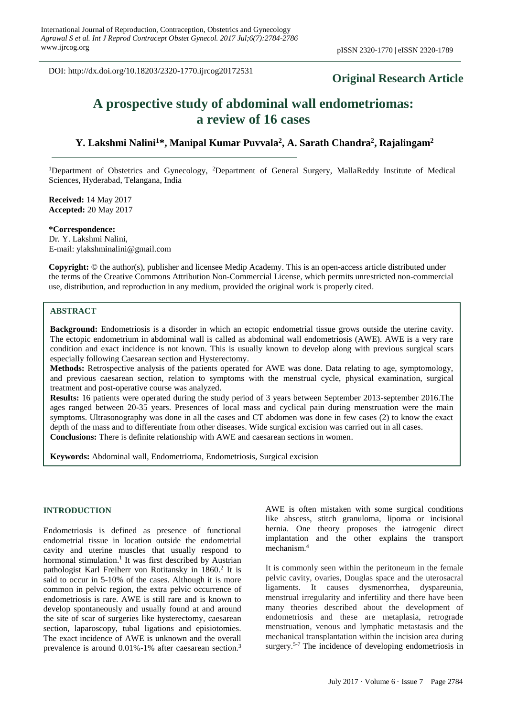DOI: http://dx.doi.org/10.18203/2320-1770.ijrcog20172531

# **Original Research Article**

# **A prospective study of abdominal wall endometriomas: a review of 16 cases**

# **Y. Lakshmi Nalini<sup>1</sup>\*, Manipal Kumar Puvvala<sup>2</sup> , A. Sarath Chandra<sup>2</sup> , Rajalingam<sup>2</sup>**

<sup>1</sup>Department of Obstetrics and Gynecology, <sup>2</sup>Department of General Surgery, MallaReddy Institute of Medical Sciences, Hyderabad, Telangana, India

**Received:** 14 May 2017 **Accepted:** 20 May 2017

**\*Correspondence:** Dr. Y. Lakshmi Nalini, E-mail: ylakshminalini@gmail.com

**Copyright:** © the author(s), publisher and licensee Medip Academy. This is an open-access article distributed under the terms of the Creative Commons Attribution Non-Commercial License, which permits unrestricted non-commercial use, distribution, and reproduction in any medium, provided the original work is properly cited.

#### **ABSTRACT**

**Background:** Endometriosis is a disorder in which an ectopic endometrial tissue grows outside the uterine cavity. The ectopic endometrium in abdominal wall is called as abdominal wall endometriosis (AWE). AWE is a very rare condition and exact incidence is not known. This is usually known to develop along with previous surgical scars especially following Caesarean section and Hysterectomy.

**Methods:** Retrospective analysis of the patients operated for AWE was done. Data relating to age, symptomology, and previous caesarean section, relation to symptoms with the menstrual cycle, physical examination, surgical treatment and post-operative course was analyzed.

**Results:** 16 patients were operated during the study period of 3 years between September 2013-september 2016.The ages ranged between 20-35 years. Presences of local mass and cyclical pain during menstruation were the main symptoms. Ultrasonography was done in all the cases and CT abdomen was done in few cases (2) to know the exact depth of the mass and to differentiate from other diseases. Wide surgical excision was carried out in all cases. **Conclusions:** There is definite relationship with AWE and caesarean sections in women.

**Keywords:** Abdominal wall, Endometrioma, Endometriosis, Surgical excision

#### **INTRODUCTION**

Endometriosis is defined as presence of functional endometrial tissue in location outside the endometrial cavity and uterine muscles that usually respond to hormonal stimulation.<sup>1</sup> It was first described by Austrian pathologist Karl Freiherr von Rotitansky in 1860.<sup>2</sup> It is said to occur in 5-10% of the cases. Although it is more common in pelvic region, the extra pelvic occurrence of endometriosis is rare. AWE is still rare and is known to develop spontaneously and usually found at and around the site of scar of surgeries like hysterectomy, caesarean section, laparoscopy, tubal ligations and episiotomies. The exact incidence of AWE is unknown and the overall prevalence is around 0.01%-1% after caesarean section.<sup>3</sup>

AWE is often mistaken with some surgical conditions like abscess, stitch granuloma, lipoma or incisional hernia. One theory proposes the iatrogenic direct implantation and the other explains the transport mechanism. 4

It is commonly seen within the peritoneum in the female pelvic cavity, ovaries, Douglas space and the uterosacral ligaments. It causes dysmenorrhea, dyspareunia, menstrual irregularity and infertility and there have been many theories described about the development of endometriosis and these are metaplasia, retrograde menstruation, venous and lymphatic metastasis and the mechanical transplantation within the incision area during surgery.<sup>5-7</sup> The incidence of developing endometriosis in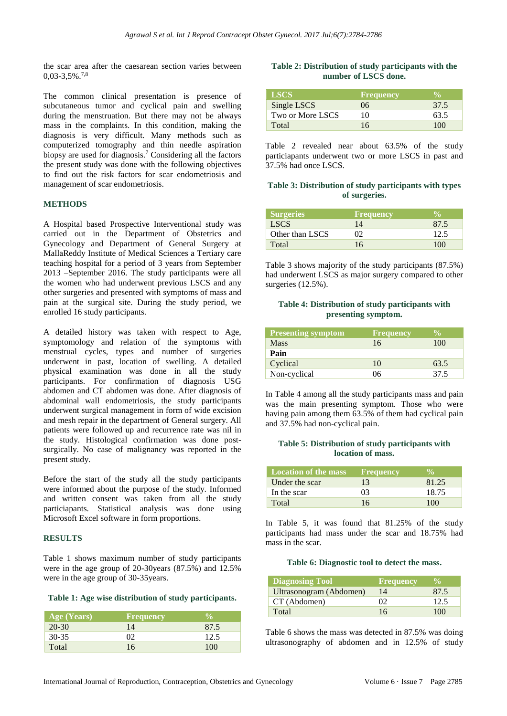the scar area after the caesarean section varies between  $0.03 - 3.5\%$ .<sup>7,8</sup>

The common clinical presentation is presence of subcutaneous tumor and cyclical pain and swelling during the menstruation. But there may not be always mass in the complaints. In this condition, making the diagnosis is very difficult. Many methods such as computerized tomography and thin needle aspiration biopsy are used for diagnosis.<sup>7</sup> Considering all the factors the present study was done with the following objectives to find out the risk factors for scar endometriosis and management of scar endometriosis.

#### **METHODS**

A Hospital based Prospective Interventional study was carried out in the Department of Obstetrics and Gynecology and Department of General Surgery at MallaReddy Institute of Medical Sciences a Tertiary care teaching hospital for a period of 3 years from September 2013 –September 2016. The study participants were all the women who had underwent previous LSCS and any other surgeries and presented with symptoms of mass and pain at the surgical site. During the study period, we enrolled 16 study participants.

A detailed history was taken with respect to Age, symptomology and relation of the symptoms with menstrual cycles, types and number of surgeries underwent in past, location of swelling. A detailed physical examination was done in all the study participants. For confirmation of diagnosis USG abdomen and CT abdomen was done. After diagnosis of abdominal wall endometriosis, the study participants underwent surgical management in form of wide excision and mesh repair in the department of General surgery. All patients were followed up and recurrence rate was nil in the study. Histological confirmation was done postsurgically. No case of malignancy was reported in the present study.

Before the start of the study all the study participants were informed about the purpose of the study. Informed and written consent was taken from all the study particiapants. Statistical analysis was done using Microsoft Excel software in form proportions.

## **RESULTS**

Table 1 shows maximum number of study participants were in the age group of 20-30years (87.5%) and 12.5% were in the age group of 30-35years.

#### **Table 1: Age wise distribution of study participants.**

| <b>Age (Years)</b> | <b>Frequency</b> |      |
|--------------------|------------------|------|
| $20 - 30$          | 14               | 87.5 |
| $30 - 35$          | ΩŽ               | 12.5 |
| Total              | 16               | 100  |

#### **Table 2: Distribution of study participants with the number of LSCS done.**

| <b>LSCS</b>      | <b>Frequency</b> |      |
|------------------|------------------|------|
| Single LSCS      | 06               | 37.5 |
| Two or More LSCS | 10               | 63.5 |
| Total            | 16               | 100  |

Table 2 revealed near about 63.5% of the study particiapants underwent two or more LSCS in past and 37.5% had once LSCS.

## **Table 3: Distribution of study participants with types of surgeries.**

| <b>Surgeries</b> | <b>Frequency</b> |      |
|------------------|------------------|------|
| <b>LSCS</b>      | 14               | 87.5 |
| Other than LSCS  | O2               | 12.5 |
| Total            | 16               | 100  |

Table 3 shows majority of the study participants (87.5%) had underwent LSCS as major surgery compared to other surgeries (12.5%).

## **Table 4: Distribution of study participants with presenting symptom.**

| <b>Presenting symptom</b> | <b>Frequency</b> | <b>VA</b> |
|---------------------------|------------------|-----------|
| <b>Mass</b>               | 16               | 100       |
| Pain                      |                  |           |
| Cyclical                  | 10               | 63.5      |
| Non-cyclical              | 06               | 37.5      |

In Table 4 among all the study participants mass and pain was the main presenting symptom. Those who were having pain among them 63.5% of them had cyclical pain and 37.5% had non-cyclical pain.

#### **Table 5: Distribution of study participants with location of mass.**

| Location of the mass | <b>Frequency</b> |       |
|----------------------|------------------|-------|
| Under the scar       | 13               | 81.25 |
| In the scar          | 03               | 18.75 |
| Total                | 16               | 100   |

In Table 5, it was found that 81.25% of the study participants had mass under the scar and 18.75% had mass in the scar.

#### **Table 6: Diagnostic tool to detect the mass.**

| <b>Diagnosing Tool</b>  | <b>Frequency</b> |      |
|-------------------------|------------------|------|
| Ultrasonogram (Abdomen) | 14               | 87.5 |
| CT (Abdomen)            | ΩQ               | 12.5 |
| Total                   | 16               | 100  |

Table 6 shows the mass was detected in 87.5% was doing ultrasonography of abdomen and in 12.5% of study